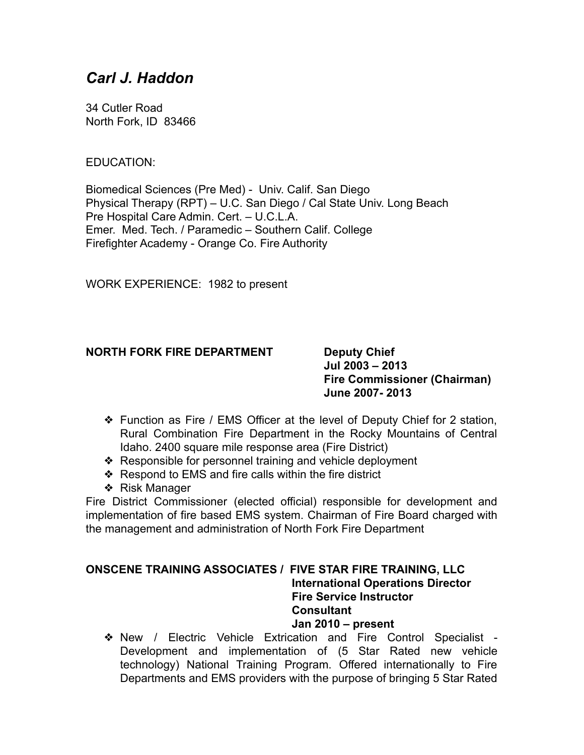# *Carl J. Haddon*

34 Cutler Road North Fork, ID 83466

# EDUCATION:

Biomedical Sciences (Pre Med) - Univ. Calif. San Diego Physical Therapy (RPT) – U.C. San Diego / Cal State Univ. Long Beach Pre Hospital Care Admin. Cert. – U.C.L.A. Emer. Med. Tech. / Paramedic – Southern Calif. College Firefighter Academy - Orange Co. Fire Authority

WORK EXPERIENCE: 1982 to present

# **NORTH FORK FIRE DEPARTMENT Deputy Chief**

**Jul 2003 – 2013 Fire Commissioner (Chairman) June 2007- 2013**

- ❖ Function as Fire / EMS Officer at the level of Deputy Chief for 2 station, Rural Combination Fire Department in the Rocky Mountains of Central Idaho. 2400 square mile response area (Fire District)
- ❖ Responsible for personnel training and vehicle deployment
- ❖ Respond to EMS and fire calls within the fire district
- ❖ Risk Manager

Fire District Commissioner (elected official) responsible for development and implementation of fire based EMS system. Chairman of Fire Board charged with the management and administration of North Fork Fire Department

## **ONSCENE TRAINING ASSOCIATES / FIVE STAR FIRE TRAINING, LLC International Operations Director Fire Service Instructor Consultant Jan 2010 – present**

❖ New / Electric Vehicle Extrication and Fire Control Specialist - Development and implementation of (5 Star Rated new vehicle technology) National Training Program. Offered internationally to Fire Departments and EMS providers with the purpose of bringing 5 Star Rated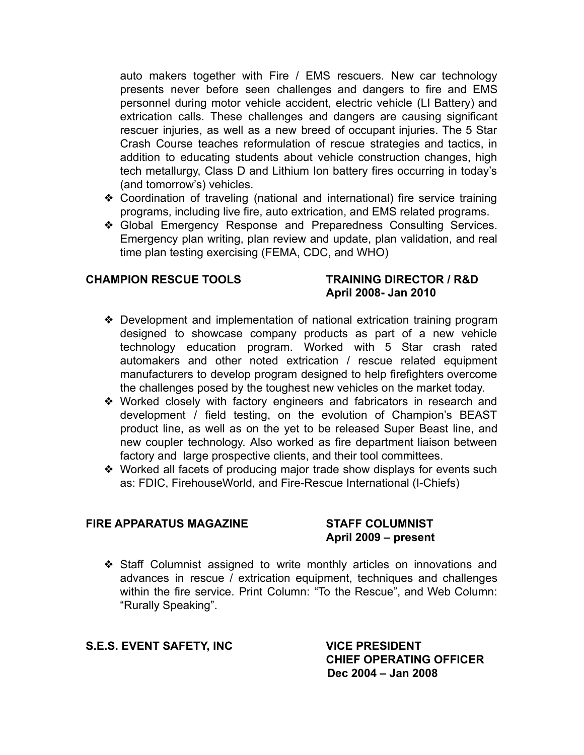auto makers together with Fire / EMS rescuers. New car technology presents never before seen challenges and dangers to fire and EMS personnel during motor vehicle accident, electric vehicle (LI Battery) and extrication calls. These challenges and dangers are causing significant rescuer injuries, as well as a new breed of occupant injuries. The 5 Star Crash Course teaches reformulation of rescue strategies and tactics, in addition to educating students about vehicle construction changes, high tech metallurgy, Class D and Lithium Ion battery fires occurring in today's (and tomorrow's) vehicles.

- ❖ Coordination of traveling (national and international) fire service training programs, including live fire, auto extrication, and EMS related programs.
- ❖ Global Emergency Response and Preparedness Consulting Services. Emergency plan writing, plan review and update, plan validation, and real time plan testing exercising (FEMA, CDC, and WHO)

# **CHAMPION RESCUE TOOLS TRAINING DIRECTOR / R&D**

# **April 2008- Jan 2010**

- ❖ Development and implementation of national extrication training program designed to showcase company products as part of a new vehicle technology education program. Worked with 5 Star crash rated automakers and other noted extrication / rescue related equipment manufacturers to develop program designed to help firefighters overcome the challenges posed by the toughest new vehicles on the market today.
- ❖ Worked closely with factory engineers and fabricators in research and development / field testing, on the evolution of Champion's BEAST product line, as well as on the yet to be released Super Beast line, and new coupler technology. Also worked as fire department liaison between factory and large prospective clients, and their tool committees.
- ❖ Worked all facets of producing major trade show displays for events such as: FDIC, FirehouseWorld, and Fire-Rescue International (I-Chiefs)

# **FIRE APPARATUS MAGAZINE STAFF COLUMNIST**

# **April 2009 – present**

❖ Staff Columnist assigned to write monthly articles on innovations and advances in rescue / extrication equipment, techniques and challenges within the fire service. Print Column: "To the Rescue", and Web Column: "Rurally Speaking".

# **S.E.S. EVENT SAFETY, INC VICE PRESIDENT**

**CHIEF OPERATING OFFICER Dec 2004 – Jan 2008**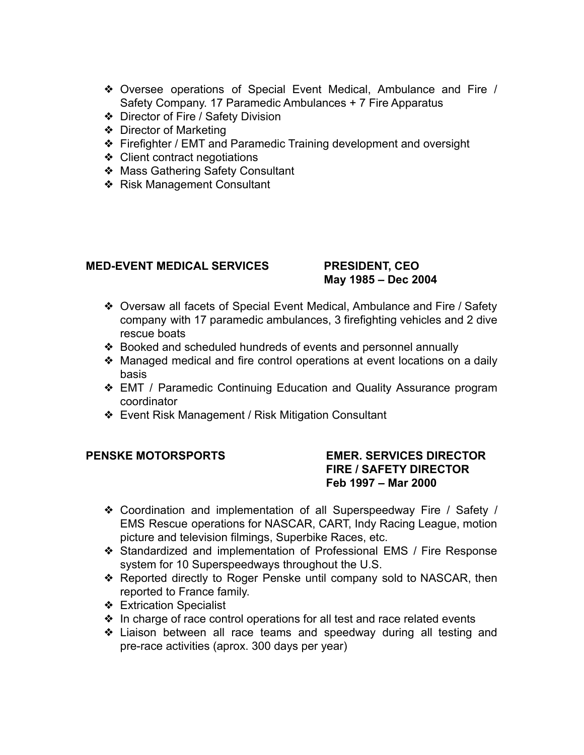- ❖ Oversee operations of Special Event Medical, Ambulance and Fire / Safety Company. 17 Paramedic Ambulances + 7 Fire Apparatus
- ❖ Director of Fire / Safety Division
- ❖ Director of Marketing
- ❖ Firefighter / EMT and Paramedic Training development and oversight
- ❖ Client contract negotiations
- ❖ Mass Gathering Safety Consultant
- ❖ Risk Management Consultant

# **MED-EVENT MEDICAL SERVICES PRESIDENT, CEO**

# **May 1985 – Dec 2004**

- ❖ Oversaw all facets of Special Event Medical, Ambulance and Fire / Safety company with 17 paramedic ambulances, 3 firefighting vehicles and 2 dive rescue boats
- ❖ Booked and scheduled hundreds of events and personnel annually
- ❖ Managed medical and fire control operations at event locations on a daily basis
- ❖ EMT / Paramedic Continuing Education and Quality Assurance program coordinator
- ❖ Event Risk Management / Risk Mitigation Consultant

# **PENSKE MOTORSPORTS EMER. SERVICES DIRECTOR FIRE / SAFETY DIRECTOR Feb 1997 – Mar 2000**

- ❖ Coordination and implementation of all Superspeedway Fire / Safety / EMS Rescue operations for NASCAR, CART, Indy Racing League, motion picture and television filmings, Superbike Races, etc.
- ❖ Standardized and implementation of Professional EMS / Fire Response system for 10 Superspeedways throughout the U.S.
- ❖ Reported directly to Roger Penske until company sold to NASCAR, then reported to France family.
- ❖ Extrication Specialist
- ❖ In charge of race control operations for all test and race related events
- ❖ Liaison between all race teams and speedway during all testing and pre-race activities (aprox. 300 days per year)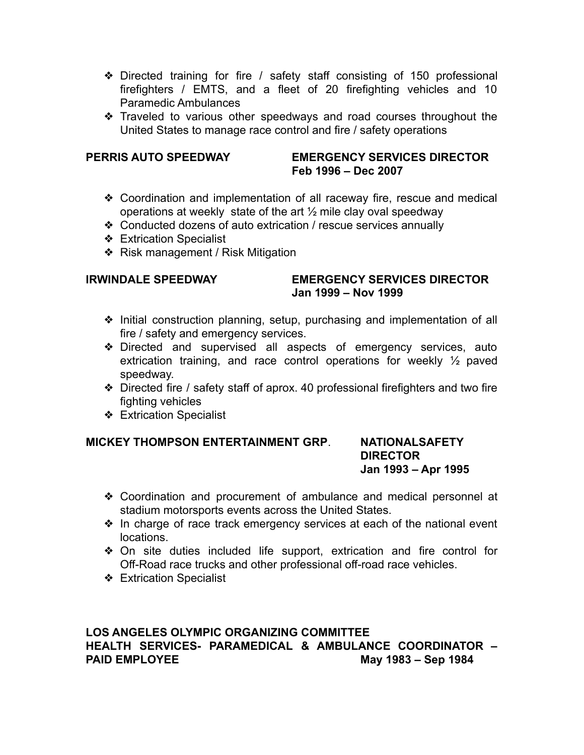- ❖ Directed training for fire / safety staff consisting of 150 professional firefighters / EMTS, and a fleet of 20 firefighting vehicles and 10 Paramedic Ambulances
- ❖ Traveled to various other speedways and road courses throughout the United States to manage race control and fire / safety operations

# **PERRIS AUTO SPEEDWAY EMERGENCY SERVICES DIRECTOR Feb 1996 – Dec 2007**

- ❖ Coordination and implementation of all raceway fire, rescue and medical operations at weekly state of the art ½ mile clay oval speedway
- ❖ Conducted dozens of auto extrication / rescue services annually
- ❖ Extrication Specialist
- ❖ Risk management / Risk Mitigation

# **IRWINDALE SPEEDWAY EMERGENCY SERVICES DIRECTOR Jan 1999 – Nov 1999**

- ❖ Initial construction planning, setup, purchasing and implementation of all fire / safety and emergency services.
- ❖ Directed and supervised all aspects of emergency services, auto extrication training, and race control operations for weekly ½ paved speedway.
- ❖ Directed fire / safety staff of aprox. 40 professional firefighters and two fire fighting vehicles
- ❖ Extrication Specialist

# **MICKEY THOMPSON ENTERTAINMENT GRP**. **NATIONALSAFETY**

# **DIRECTOR Jan 1993 – Apr 1995**

- ❖ Coordination and procurement of ambulance and medical personnel at stadium motorsports events across the United States.
- ❖ In charge of race track emergency services at each of the national event locations.
- ❖ On site duties included life support, extrication and fire control for Off-Road race trucks and other professional off-road race vehicles.
- ❖ Extrication Specialist

# **LOS ANGELES OLYMPIC ORGANIZING COMMITTEE HEALTH SERVICES- PARAMEDICAL & AMBULANCE COORDINATOR – PAID EMPLOYEE May 1983 – Sep 1984**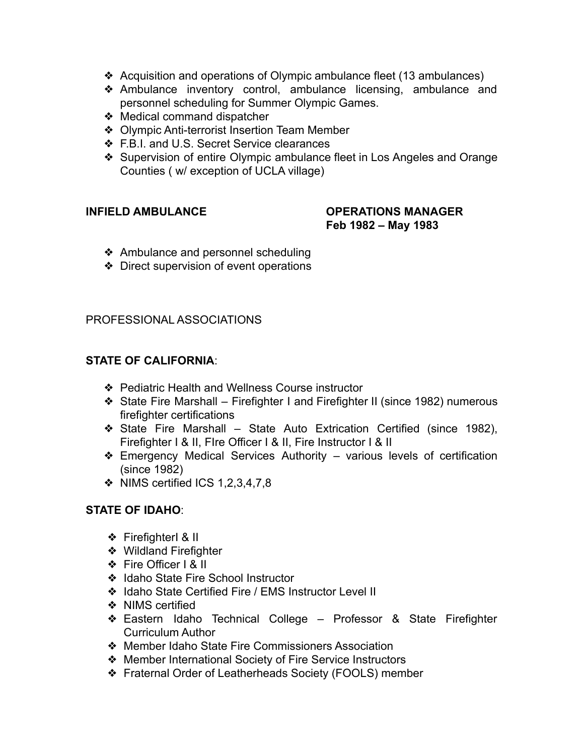- ❖ Acquisition and operations of Olympic ambulance fleet (13 ambulances)
- ❖ Ambulance inventory control, ambulance licensing, ambulance and personnel scheduling for Summer Olympic Games.
- ❖ Medical command dispatcher
- ❖ Olympic Anti-terrorist Insertion Team Member
- ❖ F.B.I. and U.S. Secret Service clearances
- ❖ Supervision of entire Olympic ambulance fleet in Los Angeles and Orange Counties ( w/ exception of UCLA village)

# **INFIELD AMBULANCE OPERATIONS MANAGER Feb 1982 – May 1983**

- ❖ Ambulance and personnel scheduling
- ❖ Direct supervision of event operations

# PROFESSIONAL ASSOCIATIONS

# **STATE OF CALIFORNIA**:

- ❖ Pediatric Health and Wellness Course instructor
- ❖ State Fire Marshall Firefighter I and Firefighter II (since 1982) numerous firefighter certifications
- ❖ State Fire Marshall State Auto Extrication Certified (since 1982), Firefighter I & II, FIre Officer I & II, Fire Instructor I & II
- ❖ Emergency Medical Services Authority various levels of certification (since 1982)
- ❖ NIMS certified ICS 1,2,3,4,7,8

# **STATE OF IDAHO**:

- ❖ FirefighterI & II
- ❖ Wildland Firefighter
- ❖ Fire Officer I & II
- ❖ Idaho State Fire School Instructor
- ❖ Idaho State Certified Fire / EMS Instructor Level II
- ❖ NIMS certified
- ❖ Eastern Idaho Technical College Professor & State Firefighter Curriculum Author
- ❖ Member Idaho State Fire Commissioners Association
- ❖ Member International Society of Fire Service Instructors
- ❖ Fraternal Order of Leatherheads Society (FOOLS) member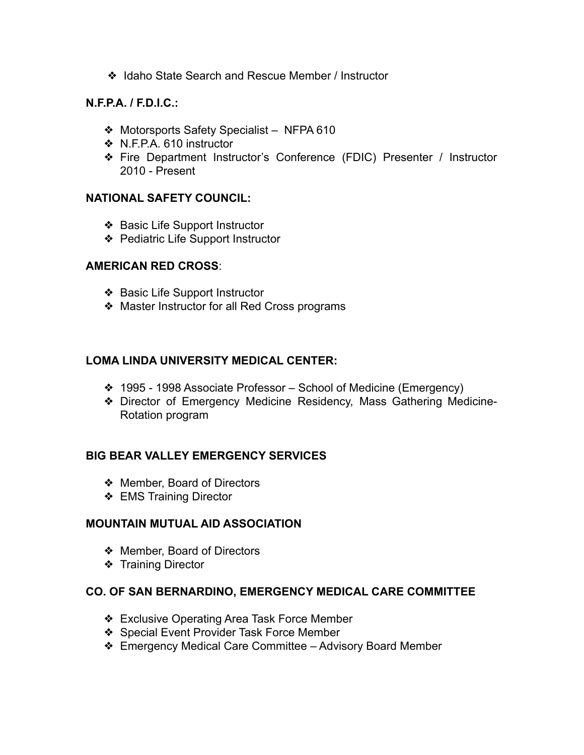❖ Idaho State Search and Rescue Member / Instructor

# **N.F.P.A. / F.D.I.C.:**

- ❖ Motorsports Safety Specialist NFPA 610
- ❖ N.F.P.A. 610 instructor
- ❖ Fire Department Instructor's Conference (FDIC) Presenter / Instructor 2010 - Present

# **NATIONAL SAFETY COUNCIL:**

- ❖ Basic Life Support Instructor
- ❖ Pediatric Life Support Instructor

### **AMERICAN RED CROSS**:

- ❖ Basic Life Support Instructor
- ❖ Master Instructor for all Red Cross programs

# **LOMA LINDA UNIVERSITY MEDICAL CENTER:**

- ❖ 1995 1998 Associate Professor School of Medicine (Emergency)
- ❖ Director of Emergency Medicine Residency, Mass Gathering Medicine-Rotation program

# **BIG BEAR VALLEY EMERGENCY SERVICES**

- ❖ Member, Board of Directors
- ❖ EMS Training Director

# **MOUNTAIN MUTUAL AID ASSOCIATION**

- ❖ Member, Board of Directors
- ❖ Training Director

# **CO. OF SAN BERNARDINO, EMERGENCY MEDICAL CARE COMMITTEE**

- ❖ Exclusive Operating Area Task Force Member
- ❖ Special Event Provider Task Force Member
- ❖ Emergency Medical Care Committee Advisory Board Member